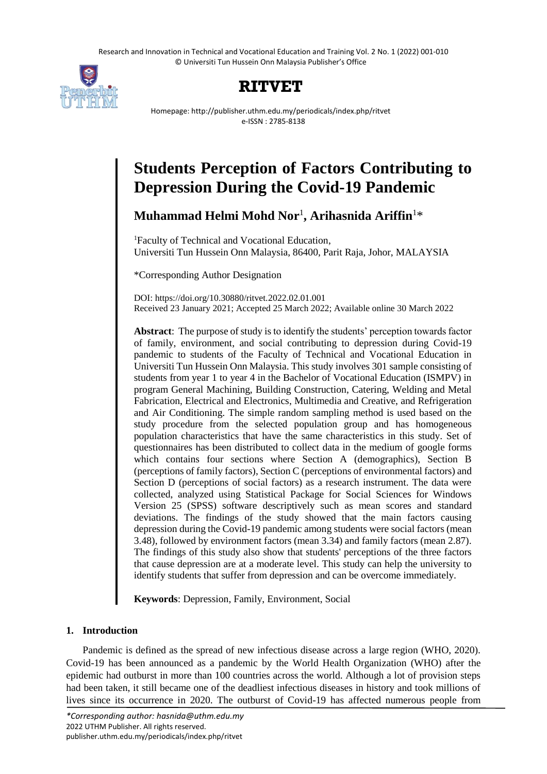Research and Innovation in Technical and Vocational Education and Training Vol. 2 No. 1 (2022) 001-010 © Universiti Tun Hussein Onn Malaysia Publisher's Office



## **RITVET**

Homepage: http://publisher.uthm.edu.my/periodicals/index.php/ritvet e-ISSN : 2785-8138

# **Students Perception of Factors Contributing to Depression During the Covid-19 Pandemic**

**Muhammad Helmi Mohd Nor**<sup>1</sup> **, Arihasnida Ariffin**<sup>1</sup>\*

<sup>1</sup>Faculty of Technical and Vocational Education, Universiti Tun Hussein Onn Malaysia, 86400, Parit Raja, Johor, MALAYSIA

\*Corresponding Author Designation

DOI: https://doi.org/10.30880/ritvet.2022.02.01.001 Received 23 January 2021; Accepted 25 March 2022; Available online 30 March 2022

**Abstract**: The purpose of study is to identify the students' perception towards factor of family, environment, and social contributing to depression during Covid-19 pandemic to students of the Faculty of Technical and Vocational Education in Universiti Tun Hussein Onn Malaysia. This study involves 301 sample consisting of students from year 1 to year 4 in the Bachelor of Vocational Education (ISMPV) in program General Machining, Building Construction, Catering, Welding and Metal Fabrication, Electrical and Electronics, Multimedia and Creative, and Refrigeration and Air Conditioning. The simple random sampling method is used based on the study procedure from the selected population group and has homogeneous population characteristics that have the same characteristics in this study. Set of questionnaires has been distributed to collect data in the medium of google forms which contains four sections where Section A (demographics), Section B (perceptions of family factors), Section C (perceptions of environmental factors) and Section D (perceptions of social factors) as a research instrument. The data were collected, analyzed using Statistical Package for Social Sciences for Windows Version 25 (SPSS) software descriptively such as mean scores and standard deviations. The findings of the study showed that the main factors causing depression during the Covid-19 pandemic among students were social factors (mean 3.48), followed by environment factors (mean 3.34) and family factors (mean 2.87). The findings of this study also show that students' perceptions of the three factors that cause depression are at a moderate level. This study can help the university to identify students that suffer from depression and can be overcome immediately.

**Keywords**: Depression, Family, Environment, Social

## **1. Introduction**

Pandemic is defined as the spread of new infectious disease across a large region (WHO, 2020). Covid-19 has been announced as a pandemic by the World Health Organization (WHO) after the epidemic had outburst in more than 100 countries across the world. Although a lot of provision steps had been taken, it still became one of the deadliest infectious diseases in history and took millions of lives since its occurrence in 2020. The outburst of Covid-19 has affected numerous people from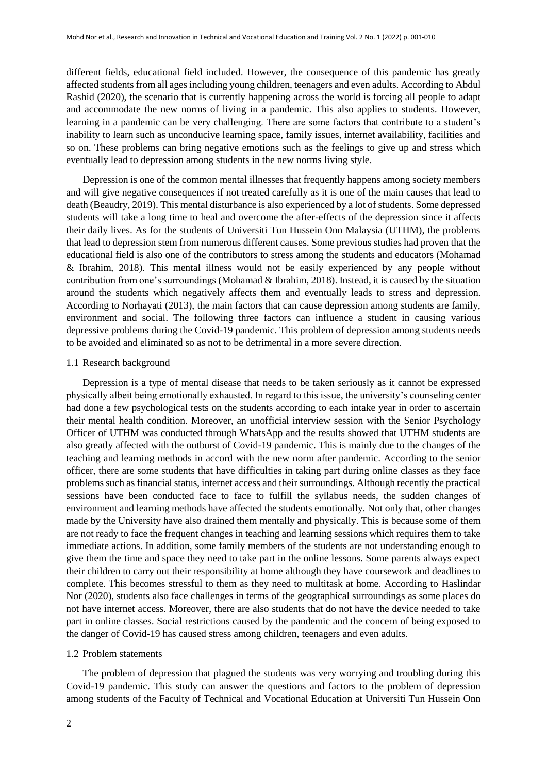different fields, educational field included. However, the consequence of this pandemic has greatly affected students from all ages including young children, teenagers and even adults. According to Abdul Rashid (2020), the scenario that is currently happening across the world is forcing all people to adapt and accommodate the new norms of living in a pandemic. This also applies to students. However, learning in a pandemic can be very challenging. There are some factors that contribute to a student's inability to learn such as unconducive learning space, family issues, internet availability, facilities and so on. These problems can bring negative emotions such as the feelings to give up and stress which eventually lead to depression among students in the new norms living style.

Depression is one of the common mental illnesses that frequently happens among society members and will give negative consequences if not treated carefully as it is one of the main causes that lead to death (Beaudry, 2019). This mental disturbance is also experienced by a lot of students. Some depressed students will take a long time to heal and overcome the after-effects of the depression since it affects their daily lives. As for the students of Universiti Tun Hussein Onn Malaysia (UTHM), the problems that lead to depression stem from numerous different causes. Some previous studies had proven that the educational field is also one of the contributors to stress among the students and educators (Mohamad & Ibrahim, 2018). This mental illness would not be easily experienced by any people without contribution from one's surroundings (Mohamad & Ibrahim, 2018). Instead, it is caused by the situation around the students which negatively affects them and eventually leads to stress and depression. According to Norhayati (2013), the main factors that can cause depression among students are family, environment and social. The following three factors can influence a student in causing various depressive problems during the Covid-19 pandemic. This problem of depression among students needs to be avoided and eliminated so as not to be detrimental in a more severe direction.

#### 1.1 Research background

Depression is a type of mental disease that needs to be taken seriously as it cannot be expressed physically albeit being emotionally exhausted. In regard to this issue, the university's counseling center had done a few psychological tests on the students according to each intake year in order to ascertain their mental health condition. Moreover, an unofficial interview session with the Senior Psychology Officer of UTHM was conducted through WhatsApp and the results showed that UTHM students are also greatly affected with the outburst of Covid-19 pandemic. This is mainly due to the changes of the teaching and learning methods in accord with the new norm after pandemic. According to the senior officer, there are some students that have difficulties in taking part during online classes as they face problems such as financial status, internet access and their surroundings. Although recently the practical sessions have been conducted face to face to fulfill the syllabus needs, the sudden changes of environment and learning methods have affected the students emotionally. Not only that, other changes made by the University have also drained them mentally and physically. This is because some of them are not ready to face the frequent changes in teaching and learning sessions which requires them to take immediate actions. In addition, some family members of the students are not understanding enough to give them the time and space they need to take part in the online lessons. Some parents always expect their children to carry out their responsibility at home although they have coursework and deadlines to complete. This becomes stressful to them as they need to multitask at home. According to Haslindar Nor (2020), students also face challenges in terms of the geographical surroundings as some places do not have internet access. Moreover, there are also students that do not have the device needed to take part in online classes. Social restrictions caused by the pandemic and the concern of being exposed to the danger of Covid-19 has caused stress among children, teenagers and even adults.

## 1.2 Problem statements

The problem of depression that plagued the students was very worrying and troubling during this Covid-19 pandemic. This study can answer the questions and factors to the problem of depression among students of the Faculty of Technical and Vocational Education at Universiti Tun Hussein Onn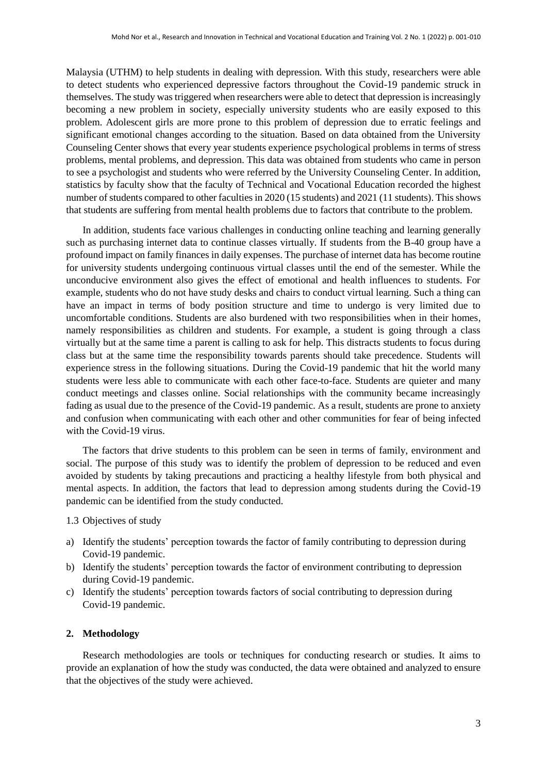Malaysia (UTHM) to help students in dealing with depression. With this study, researchers were able to detect students who experienced depressive factors throughout the Covid-19 pandemic struck in themselves. The study wastriggered when researchers were able to detect that depression is increasingly becoming a new problem in society, especially university students who are easily exposed to this problem. Adolescent girls are more prone to this problem of depression due to erratic feelings and significant emotional changes according to the situation. Based on data obtained from the University Counseling Center shows that every year students experience psychological problems in terms of stress problems, mental problems, and depression. This data was obtained from students who came in person to see a psychologist and students who were referred by the University Counseling Center. In addition, statistics by faculty show that the faculty of Technical and Vocational Education recorded the highest number of students compared to other faculties in 2020 (15 students) and 2021 (11 students). This shows that students are suffering from mental health problems due to factors that contribute to the problem.

In addition, students face various challenges in conducting online teaching and learning generally such as purchasing internet data to continue classes virtually. If students from the B-40 group have a profound impact on family finances in daily expenses. The purchase of internet data has become routine for university students undergoing continuous virtual classes until the end of the semester. While the unconducive environment also gives the effect of emotional and health influences to students. For example, students who do not have study desks and chairs to conduct virtual learning. Such a thing can have an impact in terms of body position structure and time to undergo is very limited due to uncomfortable conditions. Students are also burdened with two responsibilities when in their homes, namely responsibilities as children and students. For example, a student is going through a class virtually but at the same time a parent is calling to ask for help. This distracts students to focus during class but at the same time the responsibility towards parents should take precedence. Students will experience stress in the following situations. During the Covid-19 pandemic that hit the world many students were less able to communicate with each other face-to-face. Students are quieter and many conduct meetings and classes online. Social relationships with the community became increasingly fading as usual due to the presence of the Covid-19 pandemic. As a result, students are prone to anxiety and confusion when communicating with each other and other communities for fear of being infected with the Covid-19 virus.

The factors that drive students to this problem can be seen in terms of family, environment and social. The purpose of this study was to identify the problem of depression to be reduced and even avoided by students by taking precautions and practicing a healthy lifestyle from both physical and mental aspects. In addition, the factors that lead to depression among students during the Covid-19 pandemic can be identified from the study conducted.

1.3 Objectives of study

- a) Identify the students' perception towards the factor of family contributing to depression during Covid-19 pandemic.
- b) Identify the students' perception towards the factor of environment contributing to depression during Covid-19 pandemic.
- c) Identify the students' perception towards factors of social contributing to depression during Covid-19 pandemic.

## **2. Methodology**

Research methodologies are tools or techniques for conducting research or studies. It aims to provide an explanation of how the study was conducted, the data were obtained and analyzed to ensure that the objectives of the study were achieved.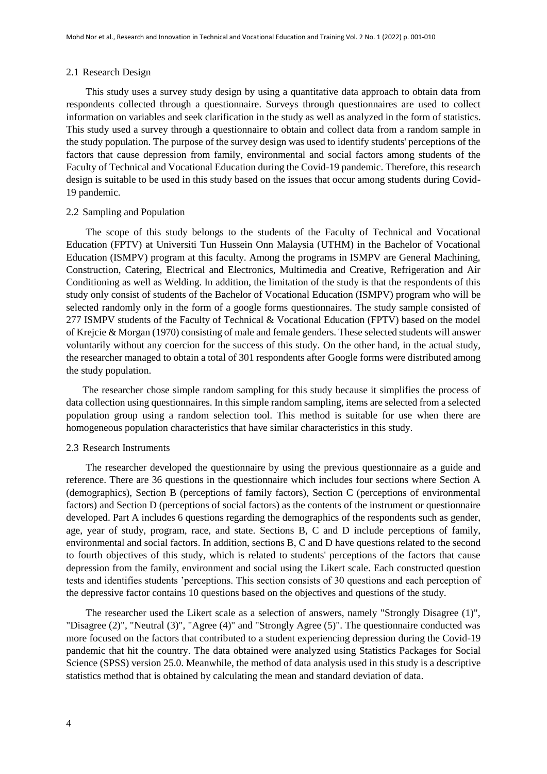### 2.1 Research Design

This study uses a survey study design by using a quantitative data approach to obtain data from respondents collected through a questionnaire. Surveys through questionnaires are used to collect information on variables and seek clarification in the study as well as analyzed in the form of statistics. This study used a survey through a questionnaire to obtain and collect data from a random sample in the study population. The purpose of the survey design was used to identify students' perceptions of the factors that cause depression from family, environmental and social factors among students of the Faculty of Technical and Vocational Education during the Covid-19 pandemic. Therefore, this research design is suitable to be used in this study based on the issues that occur among students during Covid-19 pandemic.

## 2.2 Sampling and Population

The scope of this study belongs to the students of the Faculty of Technical and Vocational Education (FPTV) at Universiti Tun Hussein Onn Malaysia (UTHM) in the Bachelor of Vocational Education (ISMPV) program at this faculty. Among the programs in ISMPV are General Machining, Construction, Catering, Electrical and Electronics, Multimedia and Creative, Refrigeration and Air Conditioning as well as Welding. In addition, the limitation of the study is that the respondents of this study only consist of students of the Bachelor of Vocational Education (ISMPV) program who will be selected randomly only in the form of a google forms questionnaires. The study sample consisted of 277 ISMPV students of the Faculty of Technical & Vocational Education (FPTV) based on the model of Krejcie & Morgan (1970) consisting of male and female genders. These selected students will answer voluntarily without any coercion for the success of this study. On the other hand, in the actual study, the researcher managed to obtain a total of 301 respondents after Google forms were distributed among the study population.

The researcher chose simple random sampling for this study because it simplifies the process of data collection using questionnaires. In this simple random sampling, items are selected from a selected population group using a random selection tool. This method is suitable for use when there are homogeneous population characteristics that have similar characteristics in this study.

## 2.3 Research Instruments

The researcher developed the questionnaire by using the previous questionnaire as a guide and reference. There are 36 questions in the questionnaire which includes four sections where Section A (demographics), Section B (perceptions of family factors), Section C (perceptions of environmental factors) and Section D (perceptions of social factors) as the contents of the instrument or questionnaire developed. Part A includes 6 questions regarding the demographics of the respondents such as gender, age, year of study, program, race, and state. Sections B, C and D include perceptions of family, environmental and social factors. In addition, sections B, C and D have questions related to the second to fourth objectives of this study, which is related to students' perceptions of the factors that cause depression from the family, environment and social using the Likert scale. Each constructed question tests and identifies students 'perceptions. This section consists of 30 questions and each perception of the depressive factor contains 10 questions based on the objectives and questions of the study.

The researcher used the Likert scale as a selection of answers, namely "Strongly Disagree (1)", "Disagree (2)", "Neutral (3)", "Agree (4)" and "Strongly Agree (5)". The questionnaire conducted was more focused on the factors that contributed to a student experiencing depression during the Covid-19 pandemic that hit the country. The data obtained were analyzed using Statistics Packages for Social Science (SPSS) version 25.0. Meanwhile, the method of data analysis used in this study is a descriptive statistics method that is obtained by calculating the mean and standard deviation of data.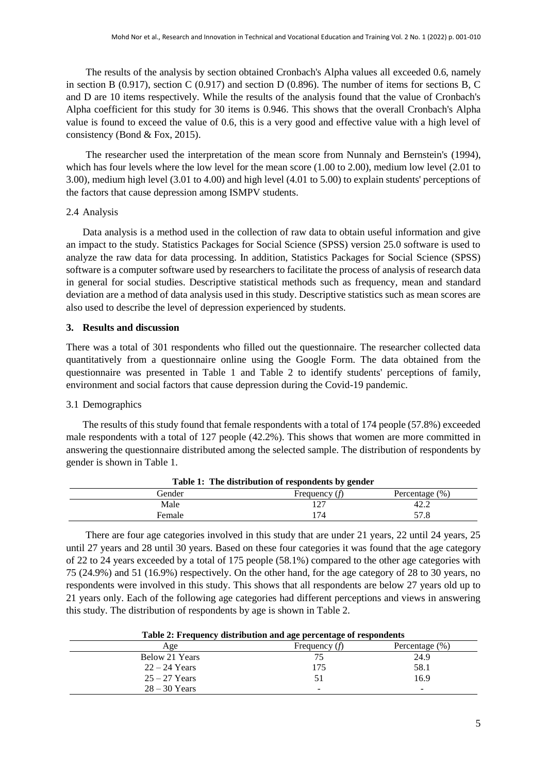The results of the analysis by section obtained Cronbach's Alpha values all exceeded 0.6, namely in section B (0.917), section C (0.917) and section D (0.896). The number of items for sections B, C and D are 10 items respectively. While the results of the analysis found that the value of Cronbach's Alpha coefficient for this study for 30 items is 0.946. This shows that the overall Cronbach's Alpha value is found to exceed the value of 0.6, this is a very good and effective value with a high level of consistency (Bond & Fox, 2015).

The researcher used the interpretation of the mean score from Nunnaly and Bernstein's (1994), which has four levels where the low level for the mean score (1.00 to 2.00), medium low level (2.01 to 3.00), medium high level (3.01 to 4.00) and high level (4.01 to 5.00) to explain students' perceptions of the factors that cause depression among ISMPV students.

## 2.4 Analysis

Data analysis is a method used in the collection of raw data to obtain useful information and give an impact to the study. Statistics Packages for Social Science (SPSS) version 25.0 software is used to analyze the raw data for data processing. In addition, Statistics Packages for Social Science (SPSS) software is a computer software used by researchers to facilitate the process of analysis of research data in general for social studies. Descriptive statistical methods such as frequency, mean and standard deviation are a method of data analysis used in this study. Descriptive statistics such as mean scores are also used to describe the level of depression experienced by students.

## **3. Results and discussion**

There was a total of 301 respondents who filled out the questionnaire. The researcher collected data quantitatively from a questionnaire online using the Google Form. The data obtained from the questionnaire was presented in Table 1 and Table 2 to identify students' perceptions of family, environment and social factors that cause depression during the Covid-19 pandemic.

## 3.1 Demographics

The results of this study found that female respondents with a total of 174 people (57.8%) exceeded male respondents with a total of 127 people (42.2%). This shows that women are more committed in answering the questionnaire distributed among the selected sample. The distribution of respondents by gender is shown in Table 1.

| Table 1: The distribution of respondents by gender |                 |                |  |
|----------------------------------------------------|-----------------|----------------|--|
| Gender                                             | Frequency $(f)$ | Percentage (%) |  |
| Male                                               |                 | 42.2           |  |
| Female                                             | 174             | 57.8           |  |

**Table 1: The distribution of respondents by gender**

There are four age categories involved in this study that are under 21 years, 22 until 24 years, 25 until 27 years and 28 until 30 years. Based on these four categories it was found that the age category of 22 to 24 years exceeded by a total of 175 people (58.1%) compared to the other age categories with 75 (24.9%) and 51 (16.9%) respectively. On the other hand, for the age category of 28 to 30 years, no respondents were involved in this study. This shows that all respondents are below 27 years old up to 21 years only. Each of the following age categories had different perceptions and views in answering this study. The distribution of respondents by age is shown in Table 2.

### **Table 2: Frequency distribution and age percentage of respondents**

| Age             | Frequency $(f)$ | Percentage $(\%)$ |
|-----------------|-----------------|-------------------|
| Below 21 Years  | 75              | 24.9              |
| $22 - 24$ Years | 175             | 58.1              |
| $25 - 27$ Years | 51              | 16.9              |
| $28 - 30$ Years | -               | $\sim$            |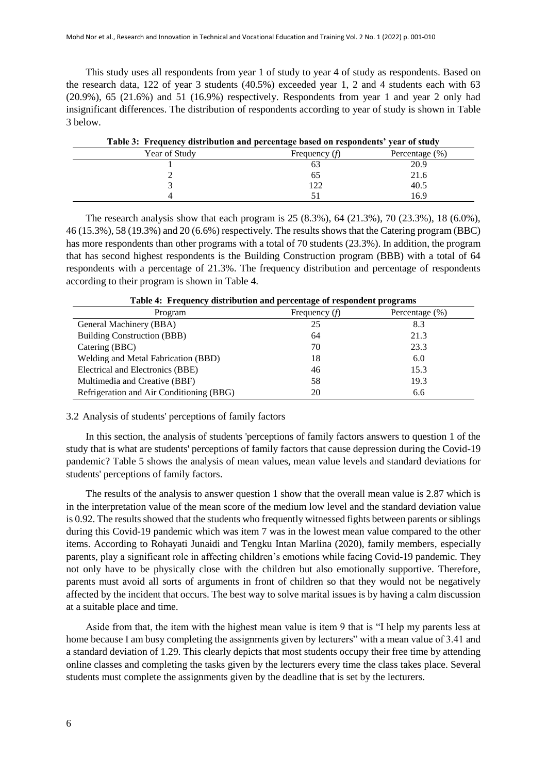This study uses all respondents from year 1 of study to year 4 of study as respondents. Based on the research data, 122 of year 3 students (40.5%) exceeded year 1, 2 and 4 students each with 63 (20.9%), 65 (21.6%) and 51 (16.9%) respectively. Respondents from year 1 and year 2 only had insignificant differences. The distribution of respondents according to year of study is shown in Table 3 below.

| Table 3: Frequency distribution and percentage based on respondents' year of study |     |      |  |
|------------------------------------------------------------------------------------|-----|------|--|
| Year of Study<br>Percentage $(\% )$<br>Frequency $(f)$                             |     |      |  |
|                                                                                    |     | 20.9 |  |
|                                                                                    | 65  | 21.6 |  |
|                                                                                    | 122 | 40.5 |  |
|                                                                                    |     | 16.9 |  |

The research analysis show that each program is 25 (8.3%), 64 (21.3%), 70 (23.3%), 18 (6.0%), 46 (15.3%), 58 (19.3%) and 20 (6.6%) respectively. The results shows that the Catering program (BBC) has more respondents than other programs with a total of 70 students (23.3%). In addition, the program that has second highest respondents is the Building Construction program (BBB) with a total of 64 respondents with a percentage of 21.3%. The frequency distribution and percentage of respondents according to their program is shown in Table 4.

| Program                                  | Frequency $(f)$ | Percentage $(\%)$ |
|------------------------------------------|-----------------|-------------------|
| General Machinery (BBA)                  | 25              | 8.3               |
| Building Construction (BBB)              | 64              | 21.3              |
| Catering (BBC)                           | 70              | 23.3              |
| Welding and Metal Fabrication (BBD)      | 18              | 6.0               |
| Electrical and Electronics (BBE)         | 46              | 15.3              |
| Multimedia and Creative (BBF)            | 58              | 19.3              |
| Refrigeration and Air Conditioning (BBG) | 20              | 6.6               |

**Table 4: Frequency distribution and percentage of respondent programs**

3.2 Analysis of students' perceptions of family factors

In this section, the analysis of students 'perceptions of family factors answers to question 1 of the study that is what are students' perceptions of family factors that cause depression during the Covid-19 pandemic? Table 5 shows the analysis of mean values, mean value levels and standard deviations for students' perceptions of family factors.

The results of the analysis to answer question 1 show that the overall mean value is 2.87 which is in the interpretation value of the mean score of the medium low level and the standard deviation value is 0.92. The results showed that the students who frequently witnessed fights between parents or siblings during this Covid-19 pandemic which was item 7 was in the lowest mean value compared to the other items. According to Rohayati Junaidi and Tengku Intan Marlina (2020), family members, especially parents, play a significant role in affecting children's emotions while facing Covid-19 pandemic. They not only have to be physically close with the children but also emotionally supportive. Therefore, parents must avoid all sorts of arguments in front of children so that they would not be negatively affected by the incident that occurs. The best way to solve marital issues is by having a calm discussion at a suitable place and time.

Aside from that, the item with the highest mean value is item 9 that is "I help my parents less at home because I am busy completing the assignments given by lecturers" with a mean value of 3.41 and a standard deviation of 1.29. This clearly depicts that most students occupy their free time by attending online classes and completing the tasks given by the lecturers every time the class takes place. Several students must complete the assignments given by the deadline that is set by the lecturers.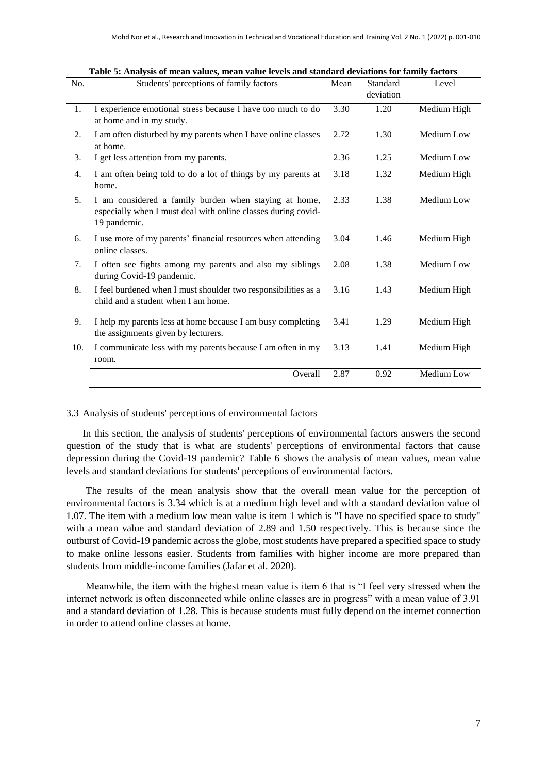| No. | Students' perceptions of family factors                                                                                                | Mean | Standard  | Level       |
|-----|----------------------------------------------------------------------------------------------------------------------------------------|------|-----------|-------------|
|     |                                                                                                                                        |      | deviation |             |
| 1.  | I experience emotional stress because I have too much to do<br>at home and in my study.                                                | 3.30 | 1.20      | Medium High |
| 2.  | I am often disturbed by my parents when I have online classes<br>at home.                                                              | 2.72 | 1.30      | Medium Low  |
| 3.  | I get less attention from my parents.                                                                                                  | 2.36 | 1.25      | Medium Low  |
| 4.  | I am often being told to do a lot of things by my parents at<br>home.                                                                  | 3.18 | 1.32      | Medium High |
| 5.  | I am considered a family burden when staying at home,<br>especially when I must deal with online classes during covid-<br>19 pandemic. | 2.33 | 1.38      | Medium Low  |
| 6.  | I use more of my parents' financial resources when attending<br>online classes.                                                        | 3.04 | 1.46      | Medium High |
| 7.  | I often see fights among my parents and also my siblings<br>during Covid-19 pandemic.                                                  | 2.08 | 1.38      | Medium Low  |
| 8.  | I feel burdened when I must shoulder two responsibilities as a<br>child and a student when I am home.                                  | 3.16 | 1.43      | Medium High |
| 9.  | I help my parents less at home because I am busy completing<br>the assignments given by lecturers.                                     | 3.41 | 1.29      | Medium High |
| 10. | I communicate less with my parents because I am often in my<br>room.                                                                   | 3.13 | 1.41      | Medium High |
|     | Overall                                                                                                                                | 2.87 | 0.92      | Medium Low  |

| Table 5: Analysis of mean values, mean value levels and standard deviations for family factors |  |  |
|------------------------------------------------------------------------------------------------|--|--|
|------------------------------------------------------------------------------------------------|--|--|

### 3.3 Analysis of students' perceptions of environmental factors

In this section, the analysis of students' perceptions of environmental factors answers the second question of the study that is what are students' perceptions of environmental factors that cause depression during the Covid-19 pandemic? Table 6 shows the analysis of mean values, mean value levels and standard deviations for students' perceptions of environmental factors.

The results of the mean analysis show that the overall mean value for the perception of environmental factors is 3.34 which is at a medium high level and with a standard deviation value of 1.07. The item with a medium low mean value is item 1 which is "I have no specified space to study" with a mean value and standard deviation of 2.89 and 1.50 respectively. This is because since the outburst of Covid-19 pandemic across the globe, most students have prepared a specified space to study to make online lessons easier. Students from families with higher income are more prepared than students from middle-income families (Jafar et al. 2020).

Meanwhile, the item with the highest mean value is item 6 that is "I feel very stressed when the internet network is often disconnected while online classes are in progress" with a mean value of 3.91 and a standard deviation of 1.28. This is because students must fully depend on the internet connection in order to attend online classes at home.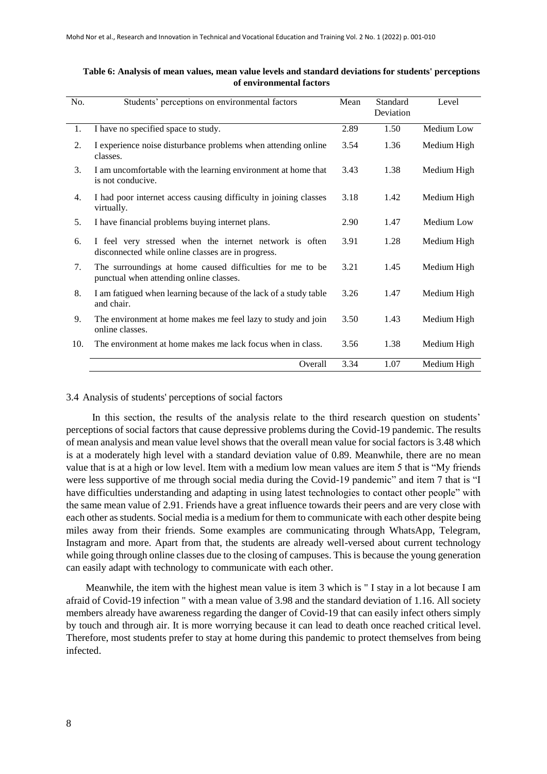| No. | Students' perceptions on environmental factors                                                                | Mean | Standard<br>Deviation | Level       |
|-----|---------------------------------------------------------------------------------------------------------------|------|-----------------------|-------------|
| 1.  | I have no specified space to study.                                                                           | 2.89 | 1.50                  | Medium Low  |
| 2.  | I experience noise disturbance problems when attending online<br>classes.                                     | 3.54 | 1.36                  | Medium High |
| 3.  | I am uncomfortable with the learning environment at home that<br>is not conducive.                            | 3.43 | 1.38                  | Medium High |
| 4.  | I had poor internet access causing difficulty in joining classes<br>virtually.                                | 3.18 | 1.42                  | Medium High |
| 5.  | I have financial problems buying internet plans.                                                              | 2.90 | 1.47                  | Medium Low  |
| 6.  | I feel very stressed when the internet network is often<br>disconnected while online classes are in progress. | 3.91 | 1.28                  | Medium High |
| 7.  | The surroundings at home caused difficulties for me to be<br>punctual when attending online classes.          | 3.21 | 1.45                  | Medium High |
| 8.  | I am fatigued when learning because of the lack of a study table<br>and chair.                                | 3.26 | 1.47                  | Medium High |
| 9.  | The environment at home makes me feel lazy to study and join<br>online classes.                               | 3.50 | 1.43                  | Medium High |
| 10. | The environment at home makes me lack focus when in class.                                                    | 3.56 | 1.38                  | Medium High |
|     | Overall                                                                                                       | 3.34 | 1.07                  | Medium High |

## **Table 6: Analysis of mean values, mean value levels and standard deviations for students' perceptions of environmental factors**

## 3.4 Analysis of students' perceptions of social factors

In this section, the results of the analysis relate to the third research question on students' perceptions of social factors that cause depressive problems during the Covid-19 pandemic. The results of mean analysis and mean value level shows that the overall mean value for social factors is 3.48 which is at a moderately high level with a standard deviation value of 0.89. Meanwhile, there are no mean value that is at a high or low level. Item with a medium low mean values are item 5 that is "My friends were less supportive of me through social media during the Covid-19 pandemic" and item 7 that is "I have difficulties understanding and adapting in using latest technologies to contact other people" with the same mean value of 2.91. Friends have a great influence towards their peers and are very close with each other as students. Social media is a medium for them to communicate with each other despite being miles away from their friends. Some examples are communicating through WhatsApp, Telegram, Instagram and more. Apart from that, the students are already well-versed about current technology while going through online classes due to the closing of campuses. This is because the young generation can easily adapt with technology to communicate with each other.

Meanwhile, the item with the highest mean value is item 3 which is " I stay in a lot because I am afraid of Covid-19 infection " with a mean value of 3.98 and the standard deviation of 1.16. All society members already have awareness regarding the danger of Covid-19 that can easily infect others simply by touch and through air. It is more worrying because it can lead to death once reached critical level. Therefore, most students prefer to stay at home during this pandemic to protect themselves from being infected.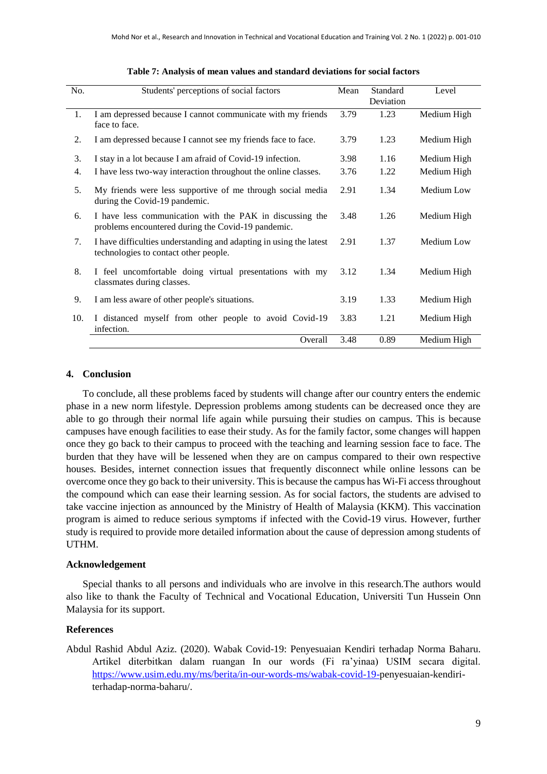| No. | Students' perceptions of social factors                                                                        | Mean | Standard<br>Deviation | Level       |
|-----|----------------------------------------------------------------------------------------------------------------|------|-----------------------|-------------|
| 1.  | I am depressed because I cannot communicate with my friends<br>face to face.                                   | 3.79 | 1.23                  | Medium High |
| 2.  | I am depressed because I cannot see my friends face to face.                                                   | 3.79 | 1.23                  | Medium High |
| 3.  | I stay in a lot because I am afraid of Covid-19 infection.                                                     | 3.98 | 1.16                  | Medium High |
| 4.  | I have less two-way interaction throughout the online classes.                                                 | 3.76 | 1.22                  | Medium High |
| 5.  | My friends were less supportive of me through social media<br>during the Covid-19 pandemic.                    | 2.91 | 1.34                  | Medium Low  |
| 6.  | I have less communication with the PAK in discussing the<br>problems encountered during the Covid-19 pandemic. | 3.48 | 1.26                  | Medium High |
| 7.  | I have difficulties understanding and adapting in using the latest<br>technologies to contact other people.    | 2.91 | 1.37                  | Medium Low  |
| 8.  | I feel uncomfortable doing virtual presentations with my<br>classmates during classes.                         | 3.12 | 1.34                  | Medium High |
| 9.  | I am less aware of other people's situations.                                                                  | 3.19 | 1.33                  | Medium High |
| 10. | I distanced myself from other people to avoid Covid-19<br>infection.                                           | 3.83 | 1.21                  | Medium High |
|     | Overall                                                                                                        | 3.48 | 0.89                  | Medium High |

|  | Table 7: Analysis of mean values and standard deviations for social factors |
|--|-----------------------------------------------------------------------------|
|--|-----------------------------------------------------------------------------|

## **4. Conclusion**

To conclude, all these problems faced by students will change after our country enters the endemic phase in a new norm lifestyle. Depression problems among students can be decreased once they are able to go through their normal life again while pursuing their studies on campus. This is because campuses have enough facilities to ease their study. As for the family factor, some changes will happen once they go back to their campus to proceed with the teaching and learning session face to face. The burden that they have will be lessened when they are on campus compared to their own respective houses. Besides, internet connection issues that frequently disconnect while online lessons can be overcome once they go back to their university. This is because the campus has Wi-Fi access throughout the compound which can ease their learning session. As for social factors, the students are advised to take vaccine injection as announced by the Ministry of Health of Malaysia (KKM). This vaccination program is aimed to reduce serious symptoms if infected with the Covid-19 virus. However, further study is required to provide more detailed information about the cause of depression among students of UTHM.

### **Acknowledgement**

Special thanks to all persons and individuals who are involve in this research.The authors would also like to thank the Faculty of Technical and Vocational Education, Universiti Tun Hussein Onn Malaysia for its support.

## **References**

Abdul Rashid Abdul Aziz. (2020). Wabak Covid-19: Penyesuaian Kendiri terhadap Norma Baharu. Artikel diterbitkan dalam ruangan In our words (Fi ra'yinaa) USIM secara digital. [https://www.usim.edu.my/ms/berita/in-our-words-ms/wabak-covid-19-p](https://www.usim.edu.my/ms/berita/in-our-words-ms/wabak-covid-19-)enyesuaian-kendiriterhadap-norma-baharu/.